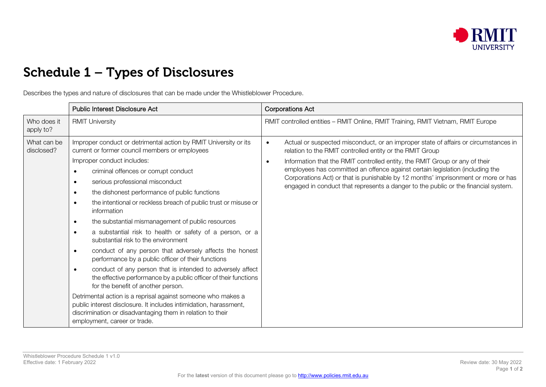

## Schedule 1 – Types of Disclosures

Describes the types and nature of disclosures that can be made under the Whistleblower Procedure.

|                           | Public Interest Disclosure Act                                                                                                                                                                                                                                                                                                                                                                                                                                                                                                                                                                                                                                                                                                                                                                                                                                                                                                                                                                                                                                                                                                                             | <b>Corporations Act</b>                                                                                                                                                                                                                                                                                                                                                                                                                                                                    |
|---------------------------|------------------------------------------------------------------------------------------------------------------------------------------------------------------------------------------------------------------------------------------------------------------------------------------------------------------------------------------------------------------------------------------------------------------------------------------------------------------------------------------------------------------------------------------------------------------------------------------------------------------------------------------------------------------------------------------------------------------------------------------------------------------------------------------------------------------------------------------------------------------------------------------------------------------------------------------------------------------------------------------------------------------------------------------------------------------------------------------------------------------------------------------------------------|--------------------------------------------------------------------------------------------------------------------------------------------------------------------------------------------------------------------------------------------------------------------------------------------------------------------------------------------------------------------------------------------------------------------------------------------------------------------------------------------|
| Who does it<br>apply to?  | <b>RMIT University</b>                                                                                                                                                                                                                                                                                                                                                                                                                                                                                                                                                                                                                                                                                                                                                                                                                                                                                                                                                                                                                                                                                                                                     | RMIT controlled entities - RMIT Online, RMIT Training, RMIT Vietnam, RMIT Europe                                                                                                                                                                                                                                                                                                                                                                                                           |
| What can be<br>disclosed? | Improper conduct or detrimental action by RMIT University or its<br>current or former council members or employees<br>Improper conduct includes:<br>criminal offences or corrupt conduct<br>$\bullet$<br>serious professional misconduct<br>$\bullet$<br>the dishonest performance of public functions<br>$\bullet$<br>the intentional or reckless breach of public trust or misuse or<br>$\bullet$<br>information<br>the substantial mismanagement of public resources<br>$\bullet$<br>a substantial risk to health or safety of a person, or a<br>$\bullet$<br>substantial risk to the environment<br>conduct of any person that adversely affects the honest<br>$\bullet$<br>performance by a public officer of their functions<br>conduct of any person that is intended to adversely affect<br>$\bullet$<br>the effective performance by a public officer of their functions<br>for the benefit of another person.<br>Detrimental action is a reprisal against someone who makes a<br>public interest disclosure. It includes intimidation, harassment,<br>discrimination or disadvantaging them in relation to their<br>employment, career or trade. | Actual or suspected misconduct, or an improper state of affairs or circumstances in<br>relation to the RMIT controlled entity or the RMIT Group<br>Information that the RMIT controlled entity, the RMIT Group or any of their<br>employees has committed an offence against certain legislation (including the<br>Corporations Act) or that is punishable by 12 months' imprisonment or more or has<br>engaged in conduct that represents a danger to the public or the financial system. |